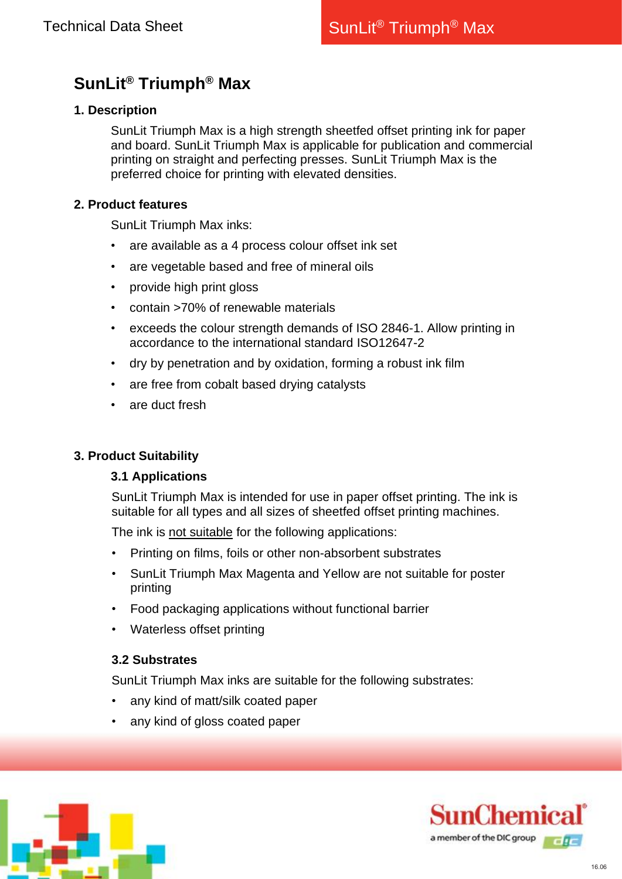# **SunLit® Triumph® Max**

## **1. Description**

SunLit Triumph Max is a high strength sheetfed offset printing ink for paper and board. SunLit Triumph Max is applicable for publication and commercial printing on straight and perfecting presses. SunLit Triumph Max is the preferred choice for printing with elevated densities.

#### **2. Product features**

SunLit Triumph Max inks:

- are available as a 4 process colour offset ink set
- are vegetable based and free of mineral oils
- provide high print gloss
- contain >70% of renewable materials
- exceeds the colour strength demands of ISO 2846-1. Allow printing in accordance to the international standard ISO12647-2
- dry by penetration and by oxidation, forming a robust ink film
- are free from cobalt based drying catalysts
- are duct fresh

#### **3. Product Suitability**

# **3.1 Applications**

SunLit Triumph Max is intended for use in paper offset printing. The ink is suitable for all types and all sizes of sheetfed offset printing machines.

The ink is not suitable for the following applications:

- Printing on films, foils or other non-absorbent substrates
- SunLit Triumph Max Magenta and Yellow are not suitable for poster printing
- Food packaging applications without functional barrier
- Waterless offset printing

# **3.2 Substrates**

SunLit Triumph Max inks are suitable for the following substrates:

- any kind of matt/silk coated paper
- any kind of gloss coated paper



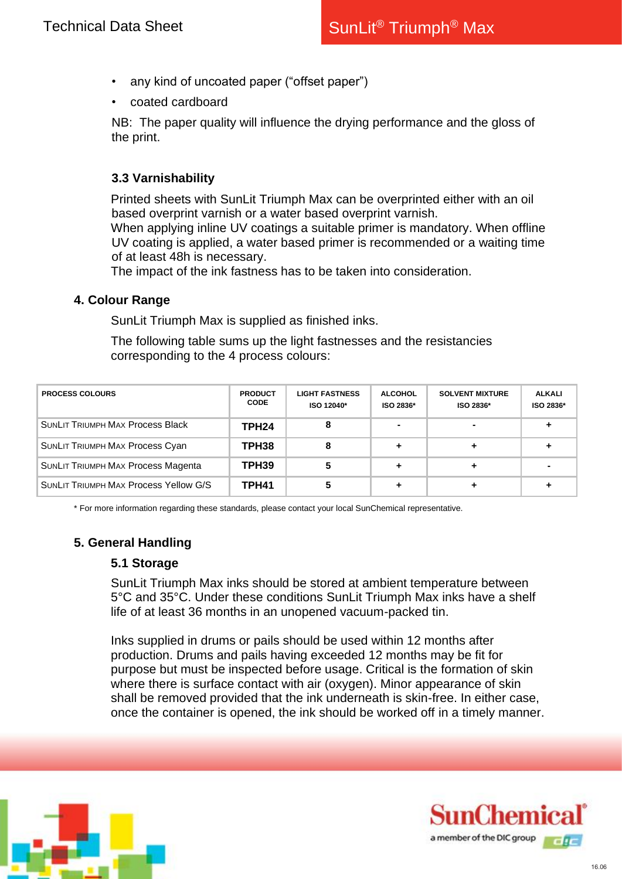- any kind of uncoated paper ("offset paper")
- coated cardboard

NB: The paper quality will influence the drying performance and the gloss of the print.

# **3.3 Varnishability**

Printed sheets with SunLit Triumph Max can be overprinted either with an oil based overprint varnish or a water based overprint varnish.

When applying inline UV coatings a suitable primer is mandatory. When offline UV coating is applied, a water based primer is recommended or a waiting time of at least 48h is necessary.

The impact of the ink fastness has to be taken into consideration.

#### **4. Colour Range**

SunLit Triumph Max is supplied as finished inks.

The following table sums up the light fastnesses and the resistancies corresponding to the 4 process colours:

| <b>PROCESS COLOURS</b>                       | <b>PRODUCT</b><br><b>CODE</b> | <b>LIGHT FASTNESS</b><br>ISO 12040* | <b>ALCOHOL</b><br>ISO 2836* | <b>SOLVENT MIXTURE</b><br>ISO 2836* | <b>ALKALI</b><br>ISO 2836* |
|----------------------------------------------|-------------------------------|-------------------------------------|-----------------------------|-------------------------------------|----------------------------|
| <b>SUNLIT TRIUMPH MAX Process Black</b>      | TPH <sub>24</sub>             |                                     |                             |                                     |                            |
| <b>SUNLIT TRIUMPH MAX Process Cyan</b>       | TPH <sub>38</sub>             | 8                                   |                             |                                     |                            |
| SUNLIT TRIUMPH MAX Process Magenta           | TPH <sub>39</sub>             |                                     |                             |                                     |                            |
| <b>SUNLIT TRIUMPH MAX Process Yellow G/S</b> | TPH41                         |                                     |                             |                                     |                            |

\* For more information regarding these standards, please contact your local SunChemical representative.

# **5. General Handling**

#### **5.1 Storage**

SunLit Triumph Max inks should be stored at ambient temperature between 5°C and 35°C. Under these conditions SunLit Triumph Max inks have a shelf life of at least 36 months in an unopened vacuum-packed tin.

Inks supplied in drums or pails should be used within 12 months after production. Drums and pails having exceeded 12 months may be fit for purpose but must be inspected before usage. Critical is the formation of skin where there is surface contact with air (oxygen). Minor appearance of skin shall be removed provided that the ink underneath is skin-free. In either case, once the container is opened, the ink should be worked off in a timely manner.



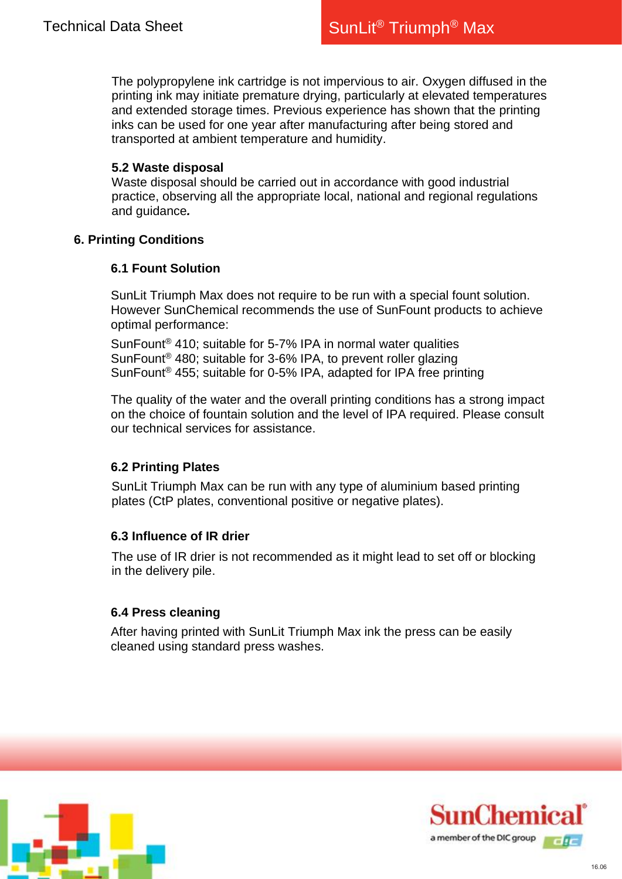The polypropylene ink cartridge is not impervious to air. Oxygen diffused in the printing ink may initiate premature drying, particularly at elevated temperatures and extended storage times. Previous experience has shown that the printing inks can be used for one year after manufacturing after being stored and transported at ambient temperature and humidity.

#### **5.2 Waste disposal**

Waste disposal should be carried out in accordance with good industrial practice, observing all the appropriate local, national and regional regulations and guidance*.*

# **6. Printing Conditions**

### **6.1 Fount Solution**

SunLit Triumph Max does not require to be run with a special fount solution. However SunChemical recommends the use of SunFount products to achieve optimal performance:

SunFount® 410; suitable for 5-7% IPA in normal water qualities SunFount® 480; suitable for 3-6% IPA, to prevent roller glazing SunFount® 455; suitable for 0-5% IPA, adapted for IPA free printing

The quality of the water and the overall printing conditions has a strong impact on the choice of fountain solution and the level of IPA required. Please consult our technical services for assistance.

# **6.2 Printing Plates**

SunLit Triumph Max can be run with any type of aluminium based printing plates (CtP plates, conventional positive or negative plates).

# **6.3 Influence of IR drier**

The use of IR drier is not recommended as it might lead to set off or blocking in the delivery pile.

#### **6.4 Press cleaning**

After having printed with SunLit Triumph Max ink the press can be easily cleaned using standard press washes.